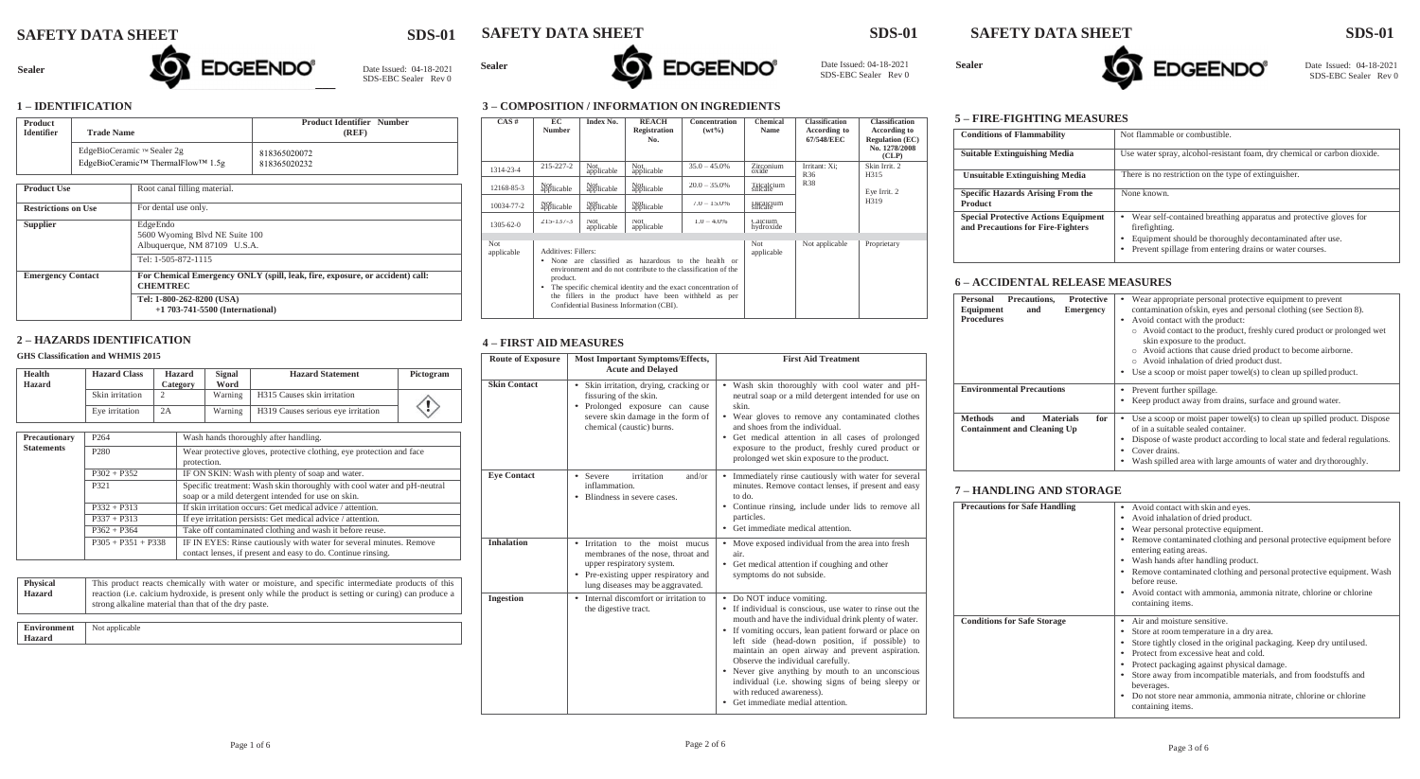# **SAFETY DATA SHEET SDS-01 SAFETY DATA SHEET SDS-01 SAFETY DATA SHEET SDS-01**

Date Issued: 04-18-2021<br>SDS-EBC Sealer Rev 0





SDS-EBC Sealer Rev 0

## **1 – IDENTIFICATION**

| <b>Product</b><br><b>Identifier</b><br><b>Trade Name</b> |                                                                 |                                                                                                 | <b>Product Identifier Number</b><br>(REF) |  |  |
|----------------------------------------------------------|-----------------------------------------------------------------|-------------------------------------------------------------------------------------------------|-------------------------------------------|--|--|
|                                                          | EdgeBioCeramic ™ Sealer 2g<br>EdgeBioCeramic™ ThermalFlow™ 1.5g |                                                                                                 | 818365020072<br>818365020232              |  |  |
| <b>Product Use</b>                                       |                                                                 | Root canal filling material.                                                                    |                                           |  |  |
| <b>Restrictions on Use</b>                               |                                                                 | For dental use only.                                                                            |                                           |  |  |
| <b>Supplier</b>                                          |                                                                 | EdgeEndo<br>5600 Wyoming Blvd NE Suite 100<br>Albuquerque, NM 87109 U.S.A.                      |                                           |  |  |
|                                                          |                                                                 | Tel: 1-505-872-1115                                                                             |                                           |  |  |
| <b>Emergency Contact</b>                                 |                                                                 | For Chemical Emergency ONLY (spill, leak, fire, exposure, or accident) call:<br><b>CHEMTREC</b> |                                           |  |  |
|                                                          |                                                                 | Tel: 1-800-262-8200 (USA)<br>$+1$ 703-741-5500 (International)                                  |                                           |  |  |

**\_\_\_\_\_\_\_\_\_\_\_\_\_\_\_\_\_\_\_\_\_\_\_\_\_**

Sealer **No. 19the Sealer** Date Issued: 04-18-2021

**\_\_\_\_\_\_\_\_\_\_\_\_\_**

## **2 – HAZARDS IDENTIFICATION**

## **GHS Classification and WHMIS 2015**

| Health<br>Hazard  | <b>Hazard Class</b>  | Hazard<br>Category | Signal<br>Word                                                                                                                      | <b>Hazard Statement</b>               | Pictogram |  |
|-------------------|----------------------|--------------------|-------------------------------------------------------------------------------------------------------------------------------------|---------------------------------------|-----------|--|
|                   | Skin irritation      | 2                  | Warning                                                                                                                             | H315 Causes skin irritation           |           |  |
|                   | Eye irritation       | 2A                 | Warning                                                                                                                             | H319 Causes serious eye irritation    |           |  |
|                   |                      |                    |                                                                                                                                     |                                       |           |  |
| Precautionary     | P <sub>264</sub>     |                    |                                                                                                                                     | Wash hands thoroughly after handling. |           |  |
| <b>Statements</b> | P <sub>280</sub>     |                    | Wear protective gloves, protective clothing, eye protection and face<br>protection.                                                 |                                       |           |  |
|                   | $P302 + P352$        |                    | IF ON SKIN: Wash with plenty of soap and water.                                                                                     |                                       |           |  |
|                   | P321                 |                    | Specific treatment: Wash skin thoroughly with cool water and pH-neutral<br>soap or a mild detergent intended for use on skin.       |                                       |           |  |
|                   | $P332 + P313$        |                    | If skin irritation occurs: Get medical advice / attention.                                                                          |                                       |           |  |
|                   | $P337 + P313$        |                    | If eye irritation persists: Get medical advice / attention.                                                                         |                                       |           |  |
|                   | $P362 + P364$        |                    | Take off contaminated clothing and wash it before reuse.                                                                            |                                       |           |  |
|                   | $P305 + P351 + P338$ |                    | IF IN EYES: Rinse cautiously with water for several minutes. Remove<br>contact lenses, if present and easy to do. Continue rinsing. |                                       |           |  |
|                   |                      |                    |                                                                                                                                     |                                       |           |  |

| <b>Physical</b> | This product reacts chemically with water or moisture, and specific intermediate products of this                                                               |
|-----------------|-----------------------------------------------------------------------------------------------------------------------------------------------------------------|
| <b>Hazard</b>   | reaction (i.e. calcium hydroxide, is present only while the product is setting or curing) can produce a<br>strong alkaline material than that of the dry paste. |

**Environment** Not applicable **Hazard**

## **3 – COMPOSITION / INFORMATION ON INGREDIENTS**

| CAS#              | EC<br><b>Number</b>                                                                                                                                                                                                                                                                                                              | Index No.          | <b>REACH</b><br><b>Registration</b><br>No. | Concentration<br>$(wt\%)$ | Chemical<br>Name      | <b>Classification</b><br>According to<br>67/548/EEC | <b>Classification</b><br><b>According to</b><br><b>Regulation (EC)</b><br>No. 1278/2008<br>(CLP) |
|-------------------|----------------------------------------------------------------------------------------------------------------------------------------------------------------------------------------------------------------------------------------------------------------------------------------------------------------------------------|--------------------|--------------------------------------------|---------------------------|-----------------------|-----------------------------------------------------|--------------------------------------------------------------------------------------------------|
| 1314-23-4         | $215 - 227 - 2$                                                                                                                                                                                                                                                                                                                  | Not<br>applicable  | Not<br>applicable                          | $35.0 - 45.0\%$           | Zirconium<br>oxide    | Irritant: Xi;<br>R36                                | Skin Irrit. 2<br>H315                                                                            |
| 12168-85-3        | Not<br>applicable                                                                                                                                                                                                                                                                                                                | Not<br>applicable  | Not<br>applicable                          | $20.0 - 35.0\%$           | Lricalcium            | <b>R38</b>                                          | Eye Irrit. 2                                                                                     |
| 10034-77-2        | Not<br>applicable                                                                                                                                                                                                                                                                                                                | Not<br>applicable  | Not<br>applicable                          | $7.0 - 15.0\%$            | Dicalcium<br>silicate |                                                     | H319                                                                                             |
| $1305 - 62 - 0$   | $215 - 137 - 3$                                                                                                                                                                                                                                                                                                                  | Not.<br>applicable | Not.<br>applicable                         | $1.0 - 4.0\%$             | Calcium<br>hydroxide  |                                                     |                                                                                                  |
| Not<br>applicable | Additives: Fillers:<br>None are classified as hazardous to the health or<br>٠<br>environment and do not contribute to the classification of the<br>product.<br>The specific chemical identity and the exact concentration of<br>the fillers in the product have been withheld as per<br>Confidential Business Information (CBI). |                    |                                            | Not<br>applicable         | Not applicable        | Proprietary                                         |                                                                                                  |

# **4 – FIRST AID MEASURES**

| <b>Route of Exposure</b> | <b>Most Important Symptoms/Effects,</b><br><b>Acute and Delayed</b>                                                                                                         | <b>First Aid Treatment</b>                                                                                                                                                                                                                                                                                                                                                                                                                                                                                              |
|--------------------------|-----------------------------------------------------------------------------------------------------------------------------------------------------------------------------|-------------------------------------------------------------------------------------------------------------------------------------------------------------------------------------------------------------------------------------------------------------------------------------------------------------------------------------------------------------------------------------------------------------------------------------------------------------------------------------------------------------------------|
| <b>Skin Contact</b>      | • Skin irritation, drying, cracking or<br>fissuring of the skin.<br>Prolonged exposure can cause<br>severe skin damage in the form of<br>chemical (caustic) burns.          | • Wash skin thoroughly with cool water and pH-<br>neutral soap or a mild detergent intended for use on<br>skin.<br>• Wear gloves to remove any contaminated clothes<br>and shoes from the individual.<br>• Get medical attention in all cases of prolonged<br>exposure to the product, freshly cured product or<br>prolonged wet skin exposure to the product.                                                                                                                                                          |
| <b>Eve Contact</b>       | irritation<br>and/or<br>• Severe<br>inflammation.<br>• Blindness in severe cases.                                                                                           | Immediately rinse cautiously with water for several<br>minutes. Remove contact lenses, if present and easy<br>to do.<br>Continue rinsing, include under lids to remove all<br>particles.<br>• Get immediate medical attention.                                                                                                                                                                                                                                                                                          |
| <b>Inhalation</b>        | Irritation to the moist mucus<br>membranes of the nose, throat and<br>upper respiratory system.<br>• Pre-existing upper respiratory and<br>lung diseases may be aggravated. | • Move exposed individual from the area into fresh<br>air.<br>Get medical attention if coughing and other<br>symptoms do not subside.                                                                                                                                                                                                                                                                                                                                                                                   |
| <b>Ingestion</b>         | Internal discomfort or irritation to<br>the digestive tract.                                                                                                                | • Do NOT induce vomiting.<br>If individual is conscious, use water to rinse out the<br>mouth and have the individual drink plenty of water.<br>• If vomiting occurs, lean patient forward or place on<br>left side (head-down position, if possible) to<br>maintain an open airway and prevent aspiration.<br>Observe the individual carefully.<br>• Never give anything by mouth to an unconscious<br>individual (i.e. showing signs of being sleepy or<br>with reduced awareness).<br>Get immediate medial attention. |

## **5 – FIRE-FIGHTING MEASURES**

| <b>Conditions of Flammability</b>                                                | Not flammable or combustible.                                                                                                                                                                                       |
|----------------------------------------------------------------------------------|---------------------------------------------------------------------------------------------------------------------------------------------------------------------------------------------------------------------|
| <b>Suitable Extinguishing Media</b>                                              | Use water spray, alcohol-resistant foam, dry chemical or carbon dioxide.                                                                                                                                            |
| <b>Unsuitable Extinguishing Media</b>                                            | There is no restriction on the type of extinguisher.                                                                                                                                                                |
| <b>Specific Hazards Arising From the</b><br><b>Product</b>                       | None known.                                                                                                                                                                                                         |
| <b>Special Protective Actions Equipment</b><br>and Precautions for Fire-Fighters | Wear self-contained breathing apparatus and protective gloves for<br>٠<br>firefighting.<br>Equipment should be thoroughly decontaminated after use.<br>٠<br>Prevent spillage from entering drains or water courses. |

## **6 – ACCIDENTAL RELEASE MEASURES**

| Precautions.<br><b>Protective</b><br>Personal<br>Equipment<br>Emergency<br>and<br><b>Procedures</b> | Wear appropriate personal protective equipment to prevent<br>contamination of skin, eyes and personal clothing (see Section 8).<br>Avoid contact with the product:<br>o Avoid contact to the product, freshly cured product or prolonged wet<br>skin exposure to the product.<br>Avoid actions that cause dried product to become airborne.<br>Avoid inhalation of dried product dust.<br>Use a scoop or moist paper towel(s) to clean up spilled product. |
|-----------------------------------------------------------------------------------------------------|------------------------------------------------------------------------------------------------------------------------------------------------------------------------------------------------------------------------------------------------------------------------------------------------------------------------------------------------------------------------------------------------------------------------------------------------------------|
| <b>Environmental Precautions</b>                                                                    | Prevent further spillage.<br>Keep product away from drains, surface and ground water.                                                                                                                                                                                                                                                                                                                                                                      |
| <b>Methods</b><br>for<br>and<br><b>Materials</b><br><b>Containment and Cleaning Up</b>              | Use a scoop or moist paper towel(s) to clean up spilled product. Dispose<br>of in a suitable sealed container.<br>Dispose of waste product according to local state and federal regulations.<br>Cover drains.<br>Wash spilled area with large amounts of water and drythoroughly.                                                                                                                                                                          |

## **7 – HANDLING AND STORAGE**

| <b>Precautions for Safe Handling</b> | • Avoid contact with skin and eyes.<br>Avoid inhalation of dried product.<br>Wear personal protective equipment.<br>Remove contaminated clothing and personal protective equipment before<br>entering eating areas.<br>• Wash hands after handling product.<br>Remove contaminated clothing and personal protective equipment. Wash<br>before reuse.                                                             |
|--------------------------------------|------------------------------------------------------------------------------------------------------------------------------------------------------------------------------------------------------------------------------------------------------------------------------------------------------------------------------------------------------------------------------------------------------------------|
|                                      | • Avoid contact with ammonia, ammonia nitrate, chlorine or chlorine<br>containing items.                                                                                                                                                                                                                                                                                                                         |
| <b>Conditions for Safe Storage</b>   | Air and moisture sensitive.<br>Store at room temperature in a dry area.<br>Store tightly closed in the original packaging. Keep dry until used.<br>Protect from excessive heat and cold.<br>Protect packaging against physical damage.<br>Store away from incompatible materials, and from foodstuffs and<br>beverages.<br>Do not store near ammonia, ammonia nitrate, chlorine or chlorine<br>containing items. |